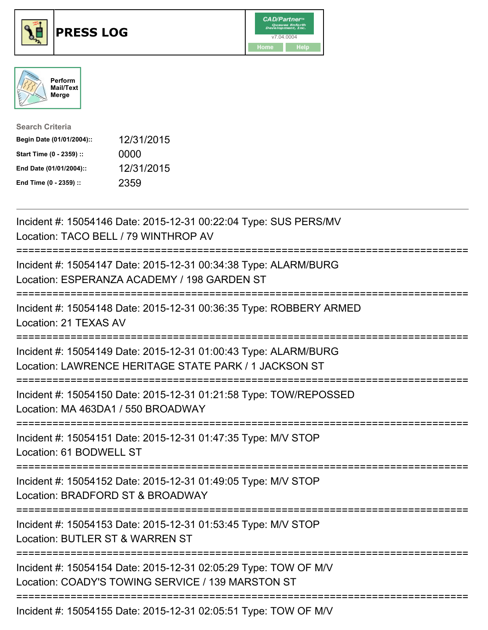





| <b>Search Criteria</b>    |            |
|---------------------------|------------|
| Begin Date (01/01/2004):: | 12/31/2015 |
| Start Time (0 - 2359) ::  | 0000       |
| End Date (01/01/2004)::   | 12/31/2015 |
| End Time (0 - 2359) ::    | 2359       |

| Incident #: 15054146 Date: 2015-12-31 00:22:04 Type: SUS PERS/MV<br>Location: TACO BELL / 79 WINTHROP AV                                                             |
|----------------------------------------------------------------------------------------------------------------------------------------------------------------------|
| Incident #: 15054147 Date: 2015-12-31 00:34:38 Type: ALARM/BURG<br>Location: ESPERANZA ACADEMY / 198 GARDEN ST                                                       |
| Incident #: 15054148 Date: 2015-12-31 00:36:35 Type: ROBBERY ARMED<br>Location: 21 TEXAS AV                                                                          |
| Incident #: 15054149 Date: 2015-12-31 01:00:43 Type: ALARM/BURG<br>Location: LAWRENCE HERITAGE STATE PARK / 1 JACKSON ST                                             |
| Incident #: 15054150 Date: 2015-12-31 01:21:58 Type: TOW/REPOSSED<br>Location: MA 463DA1 / 550 BROADWAY                                                              |
| Incident #: 15054151 Date: 2015-12-31 01:47:35 Type: M/V STOP<br>Location: 61 BODWELL ST<br>----------------                                                         |
| Incident #: 15054152 Date: 2015-12-31 01:49:05 Type: M/V STOP<br>Location: BRADFORD ST & BROADWAY<br>-------------------------                                       |
| Incident #: 15054153 Date: 2015-12-31 01:53:45 Type: M/V STOP<br>Location: BUTLER ST & WARREN ST                                                                     |
| ==========================<br>==============<br>Incident #: 15054154 Date: 2015-12-31 02:05:29 Type: TOW OF M/V<br>Location: COADY'S TOWING SERVICE / 139 MARSTON ST |
| Incident #: 15054155 Date: 2015-12-31 02:05:51 Type: TOW OF M/V                                                                                                      |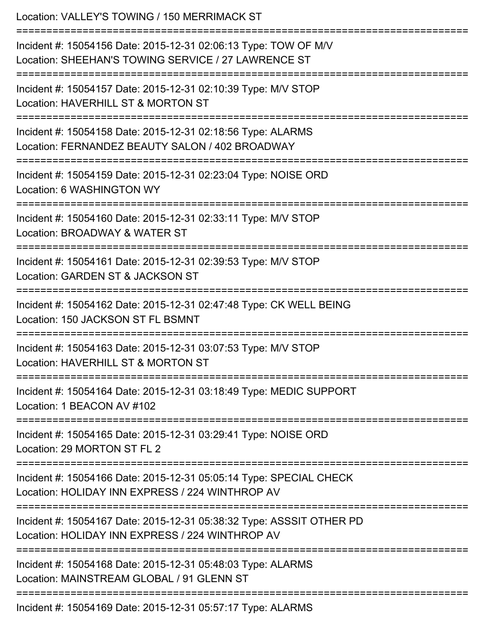| Location: VALLEY'S TOWING / 150 MERRIMACK ST                                                                                            |
|-----------------------------------------------------------------------------------------------------------------------------------------|
| Incident #: 15054156 Date: 2015-12-31 02:06:13 Type: TOW OF M/V<br>Location: SHEEHAN'S TOWING SERVICE / 27 LAWRENCE ST                  |
| Incident #: 15054157 Date: 2015-12-31 02:10:39 Type: M/V STOP<br>Location: HAVERHILL ST & MORTON ST                                     |
| Incident #: 15054158 Date: 2015-12-31 02:18:56 Type: ALARMS<br>Location: FERNANDEZ BEAUTY SALON / 402 BROADWAY                          |
| Incident #: 15054159 Date: 2015-12-31 02:23:04 Type: NOISE ORD<br>Location: 6 WASHINGTON WY<br>==================================       |
| Incident #: 15054160 Date: 2015-12-31 02:33:11 Type: M/V STOP<br>Location: BROADWAY & WATER ST                                          |
| Incident #: 15054161 Date: 2015-12-31 02:39:53 Type: M/V STOP<br>Location: GARDEN ST & JACKSON ST                                       |
| Incident #: 15054162 Date: 2015-12-31 02:47:48 Type: CK WELL BEING<br>Location: 150 JACKSON ST FL BSMNT                                 |
| Incident #: 15054163 Date: 2015-12-31 03:07:53 Type: M/V STOP<br>Location: HAVERHILL ST & MORTON ST                                     |
| Incident #: 15054164 Date: 2015-12-31 03:18:49 Type: MEDIC SUPPORT<br>Location: 1 BEACON AV #102                                        |
| Incident #: 15054165 Date: 2015-12-31 03:29:41 Type: NOISE ORD<br>Location: 29 MORTON ST FL 2                                           |
| --------------<br>Incident #: 15054166 Date: 2015-12-31 05:05:14 Type: SPECIAL CHECK<br>Location: HOLIDAY INN EXPRESS / 224 WINTHROP AV |
| Incident #: 15054167 Date: 2015-12-31 05:38:32 Type: ASSSIT OTHER PD<br>Location: HOLIDAY INN EXPRESS / 224 WINTHROP AV                 |
| Incident #: 15054168 Date: 2015-12-31 05:48:03 Type: ALARMS<br>Location: MAINSTREAM GLOBAL / 91 GLENN ST                                |
| Incident #: 15054169 Date: 2015-12-31 05:57:17 Type: ALARMS                                                                             |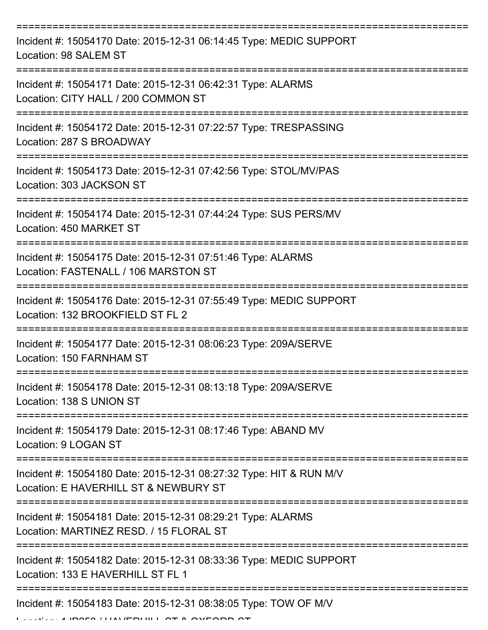| Incident #: 15054170 Date: 2015-12-31 06:14:45 Type: MEDIC SUPPORT<br>Location: 98 SALEM ST                 |
|-------------------------------------------------------------------------------------------------------------|
| Incident #: 15054171 Date: 2015-12-31 06:42:31 Type: ALARMS<br>Location: CITY HALL / 200 COMMON ST          |
| Incident #: 15054172 Date: 2015-12-31 07:22:57 Type: TRESPASSING<br>Location: 287 S BROADWAY                |
| Incident #: 15054173 Date: 2015-12-31 07:42:56 Type: STOL/MV/PAS<br>Location: 303 JACKSON ST                |
| Incident #: 15054174 Date: 2015-12-31 07:44:24 Type: SUS PERS/MV<br>Location: 450 MARKET ST                 |
| Incident #: 15054175 Date: 2015-12-31 07:51:46 Type: ALARMS<br>Location: FASTENALL / 106 MARSTON ST         |
| Incident #: 15054176 Date: 2015-12-31 07:55:49 Type: MEDIC SUPPORT<br>Location: 132 BROOKFIELD ST FL 2      |
| Incident #: 15054177 Date: 2015-12-31 08:06:23 Type: 209A/SERVE<br>Location: 150 FARNHAM ST                 |
| Incident #: 15054178 Date: 2015-12-31 08:13:18 Type: 209A/SERVE<br>Location: 138 S UNION ST                 |
| Incident #: 15054179 Date: 2015-12-31 08:17:46 Type: ABAND MV<br>Location: 9 LOGAN ST                       |
| Incident #: 15054180 Date: 2015-12-31 08:27:32 Type: HIT & RUN M/V<br>Location: E HAVERHILL ST & NEWBURY ST |
| Incident #: 15054181 Date: 2015-12-31 08:29:21 Type: ALARMS<br>Location: MARTINEZ RESD. / 15 FLORAL ST      |
| Incident #: 15054182 Date: 2015-12-31 08:33:36 Type: MEDIC SUPPORT<br>Location: 133 E HAVERHILL ST FL 1     |
| Incident #: 15054183 Date: 2015-12-31 08:38:05 Type: TOW OF M/V                                             |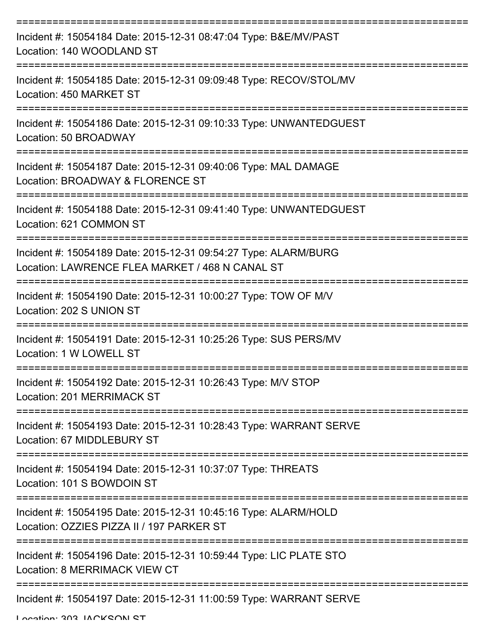| Incident #: 15054184 Date: 2015-12-31 08:47:04 Type: B&E/MV/PAST<br>Location: 140 WOODLAND ST                      |
|--------------------------------------------------------------------------------------------------------------------|
| Incident #: 15054185 Date: 2015-12-31 09:09:48 Type: RECOV/STOL/MV<br>Location: 450 MARKET ST                      |
| Incident #: 15054186 Date: 2015-12-31 09:10:33 Type: UNWANTEDGUEST<br>Location: 50 BROADWAY                        |
| Incident #: 15054187 Date: 2015-12-31 09:40:06 Type: MAL DAMAGE<br>Location: BROADWAY & FLORENCE ST                |
| Incident #: 15054188 Date: 2015-12-31 09:41:40 Type: UNWANTEDGUEST<br>Location: 621 COMMON ST                      |
| Incident #: 15054189 Date: 2015-12-31 09:54:27 Type: ALARM/BURG<br>Location: LAWRENCE FLEA MARKET / 468 N CANAL ST |
| Incident #: 15054190 Date: 2015-12-31 10:00:27 Type: TOW OF M/V<br>Location: 202 S UNION ST                        |
| Incident #: 15054191 Date: 2015-12-31 10:25:26 Type: SUS PERS/MV<br>Location: 1 W LOWELL ST                        |
| Incident #: 15054192 Date: 2015-12-31 10:26:43 Type: M/V STOP<br>Location: 201 MERRIMACK ST                        |
| Incident #: 15054193 Date: 2015-12-31 10:28:43 Type: WARRANT SERVE<br>Location: 67 MIDDLEBURY ST                   |
| Incident #: 15054194 Date: 2015-12-31 10:37:07 Type: THREATS<br>Location: 101 S BOWDOIN ST                         |
| Incident #: 15054195 Date: 2015-12-31 10:45:16 Type: ALARM/HOLD<br>Location: OZZIES PIZZA II / 197 PARKER ST       |
| Incident #: 15054196 Date: 2015-12-31 10:59:44 Type: LIC PLATE STO<br>Location: 8 MERRIMACK VIEW CT                |
| Incident #: 15054197 Date: 2015-12-31 11:00:59 Type: WARRANT SERVE                                                 |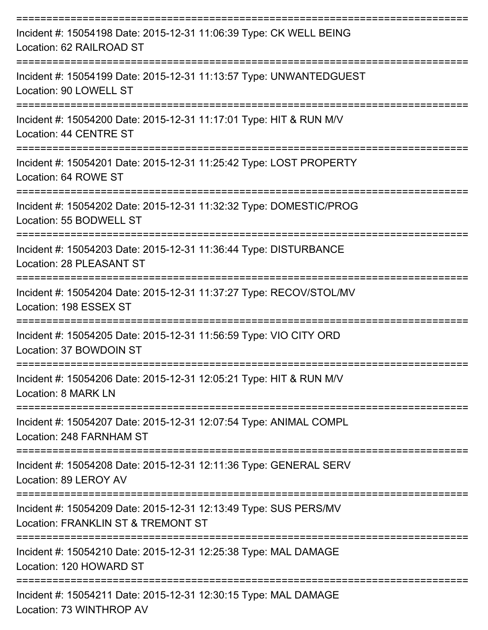| Incident #: 15054198 Date: 2015-12-31 11:06:39 Type: CK WELL BEING<br>Location: 62 RAILROAD ST         |
|--------------------------------------------------------------------------------------------------------|
| Incident #: 15054199 Date: 2015-12-31 11:13:57 Type: UNWANTEDGUEST<br>Location: 90 LOWELL ST           |
| Incident #: 15054200 Date: 2015-12-31 11:17:01 Type: HIT & RUN M/V<br>Location: 44 CENTRE ST           |
| Incident #: 15054201 Date: 2015-12-31 11:25:42 Type: LOST PROPERTY<br>Location: 64 ROWE ST             |
| Incident #: 15054202 Date: 2015-12-31 11:32:32 Type: DOMESTIC/PROG<br>Location: 55 BODWELL ST          |
| Incident #: 15054203 Date: 2015-12-31 11:36:44 Type: DISTURBANCE<br>Location: 28 PLEASANT ST           |
| Incident #: 15054204 Date: 2015-12-31 11:37:27 Type: RECOV/STOL/MV<br>Location: 198 ESSEX ST           |
| Incident #: 15054205 Date: 2015-12-31 11:56:59 Type: VIO CITY ORD<br>Location: 37 BOWDOIN ST           |
| Incident #: 15054206 Date: 2015-12-31 12:05:21 Type: HIT & RUN M/V<br>Location: 8 MARK LN              |
| Incident #: 15054207 Date: 2015-12-31 12:07:54 Type: ANIMAL COMPL<br>Location: 248 FARNHAM ST          |
| Incident #: 15054208 Date: 2015-12-31 12:11:36 Type: GENERAL SERV<br>Location: 89 LEROY AV             |
| Incident #: 15054209 Date: 2015-12-31 12:13:49 Type: SUS PERS/MV<br>Location: FRANKLIN ST & TREMONT ST |
| Incident #: 15054210 Date: 2015-12-31 12:25:38 Type: MAL DAMAGE<br>Location: 120 HOWARD ST             |
| Incident #: 15054211 Date: 2015-12-31 12:30:15 Type: MAL DAMAGE                                        |

Location: 73 WINTHROP AV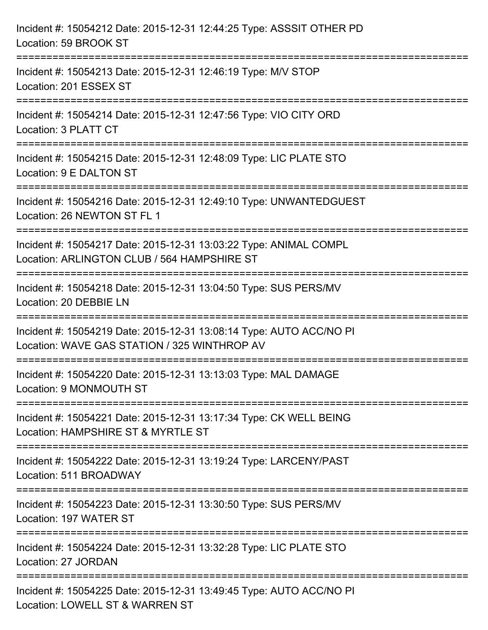| Incident #: 15054212 Date: 2015-12-31 12:44:25 Type: ASSSIT OTHER PD<br>Location: 59 BROOK ST                                                                            |
|--------------------------------------------------------------------------------------------------------------------------------------------------------------------------|
| =================================<br>Incident #: 15054213 Date: 2015-12-31 12:46:19 Type: M/V STOP<br>Location: 201 ESSEX ST                                             |
| Incident #: 15054214 Date: 2015-12-31 12:47:56 Type: VIO CITY ORD<br>Location: 3 PLATT CT                                                                                |
| Incident #: 15054215 Date: 2015-12-31 12:48:09 Type: LIC PLATE STO<br>Location: 9 E DALTON ST                                                                            |
| Incident #: 15054216 Date: 2015-12-31 12:49:10 Type: UNWANTEDGUEST<br>Location: 26 NEWTON ST FL 1                                                                        |
| Incident #: 15054217 Date: 2015-12-31 13:03:22 Type: ANIMAL COMPL<br>Location: ARLINGTON CLUB / 564 HAMPSHIRE ST                                                         |
| -------------------------------------<br>---------------------------------<br>Incident #: 15054218 Date: 2015-12-31 13:04:50 Type: SUS PERS/MV<br>Location: 20 DEBBIE LN |
| Incident #: 15054219 Date: 2015-12-31 13:08:14 Type: AUTO ACC/NO PI<br>Location: WAVE GAS STATION / 325 WINTHROP AV                                                      |
| Incident #: 15054220 Date: 2015-12-31 13:13:03 Type: MAL DAMAGE<br>Location: 9 MONMOUTH ST                                                                               |
| Incident #: 15054221 Date: 2015-12-31 13:17:34 Type: CK WELL BEING<br>Location: HAMPSHIRE ST & MYRTLE ST                                                                 |
| Incident #: 15054222 Date: 2015-12-31 13:19:24 Type: LARCENY/PAST<br>Location: 511 BROADWAY                                                                              |
| Incident #: 15054223 Date: 2015-12-31 13:30:50 Type: SUS PERS/MV<br>Location: 197 WATER ST                                                                               |
| Incident #: 15054224 Date: 2015-12-31 13:32:28 Type: LIC PLATE STO<br>Location: 27 JORDAN                                                                                |
| Incident #: 15054225 Date: 2015-12-31 13:49:45 Type: AUTO ACC/NO PI<br>Location: LOWELL ST & WARREN ST                                                                   |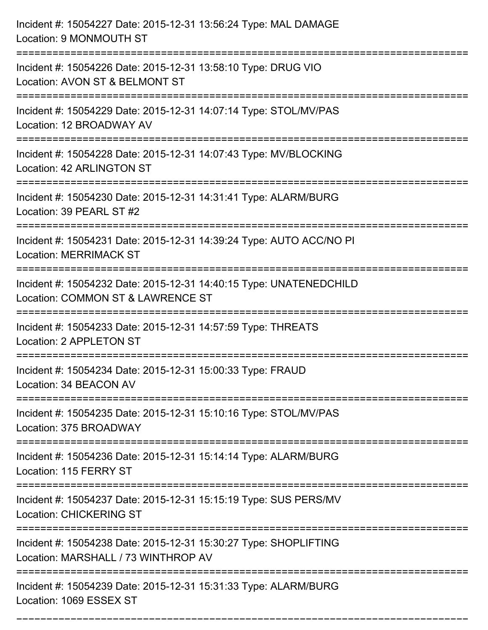| Incident #: 15054227 Date: 2015-12-31 13:56:24 Type: MAL DAMAGE<br>Location: 9 MONMOUTH ST                                        |
|-----------------------------------------------------------------------------------------------------------------------------------|
| Incident #: 15054226 Date: 2015-12-31 13:58:10 Type: DRUG VIO<br>Location: AVON ST & BELMONT ST                                   |
| Incident #: 15054229 Date: 2015-12-31 14:07:14 Type: STOL/MV/PAS<br>Location: 12 BROADWAY AV                                      |
| Incident #: 15054228 Date: 2015-12-31 14:07:43 Type: MV/BLOCKING<br>Location: 42 ARLINGTON ST                                     |
| Incident #: 15054230 Date: 2015-12-31 14:31:41 Type: ALARM/BURG<br>Location: 39 PEARL ST #2<br>================================== |
| Incident #: 15054231 Date: 2015-12-31 14:39:24 Type: AUTO ACC/NO PI<br><b>Location: MERRIMACK ST</b>                              |
| Incident #: 15054232 Date: 2015-12-31 14:40:15 Type: UNATENEDCHILD<br>Location: COMMON ST & LAWRENCE ST<br>===========            |
| Incident #: 15054233 Date: 2015-12-31 14:57:59 Type: THREATS<br>Location: 2 APPLETON ST                                           |
| Incident #: 15054234 Date: 2015-12-31 15:00:33 Type: FRAUD<br>Location: 34 BEACON AV                                              |
| Incident #: 15054235 Date: 2015-12-31 15:10:16 Type: STOL/MV/PAS<br>Location: 375 BROADWAY                                        |
| Incident #: 15054236 Date: 2015-12-31 15:14:14 Type: ALARM/BURG<br>Location: 115 FERRY ST                                         |
| Incident #: 15054237 Date: 2015-12-31 15:15:19 Type: SUS PERS/MV<br><b>Location: CHICKERING ST</b>                                |
| Incident #: 15054238 Date: 2015-12-31 15:30:27 Type: SHOPLIFTING<br>Location: MARSHALL / 73 WINTHROP AV                           |
| Incident #: 15054239 Date: 2015-12-31 15:31:33 Type: ALARM/BURG<br>Location: 1069 ESSEX ST                                        |

===========================================================================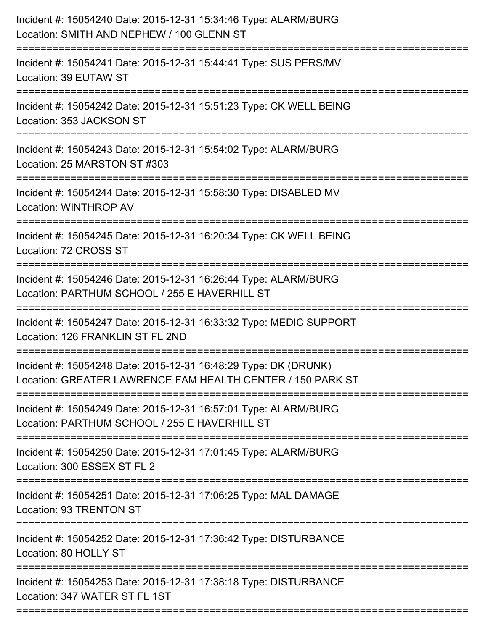| Incident #: 15054240 Date: 2015-12-31 15:34:46 Type: ALARM/BURG<br>Location: SMITH AND NEPHEW / 100 GLENN ST                                         |
|------------------------------------------------------------------------------------------------------------------------------------------------------|
| Incident #: 15054241 Date: 2015-12-31 15:44:41 Type: SUS PERS/MV<br>Location: 39 EUTAW ST                                                            |
| Incident #: 15054242 Date: 2015-12-31 15:51:23 Type: CK WELL BEING<br>Location: 353 JACKSON ST                                                       |
| Incident #: 15054243 Date: 2015-12-31 15:54:02 Type: ALARM/BURG<br>Location: 25 MARSTON ST #303                                                      |
| Incident #: 15054244 Date: 2015-12-31 15:58:30 Type: DISABLED MV<br><b>Location: WINTHROP AV</b>                                                     |
| Incident #: 15054245 Date: 2015-12-31 16:20:34 Type: CK WELL BEING<br>Location: 72 CROSS ST                                                          |
| Incident #: 15054246 Date: 2015-12-31 16:26:44 Type: ALARM/BURG<br>Location: PARTHUM SCHOOL / 255 E HAVERHILL ST<br>================                 |
| Incident #: 15054247 Date: 2015-12-31 16:33:32 Type: MEDIC SUPPORT<br>Location: 126 FRANKLIN ST FL 2ND                                               |
| Incident #: 15054248 Date: 2015-12-31 16:48:29 Type: DK (DRUNK)<br>Location: GREATER LAWRENCE FAM HEALTH CENTER / 150 PARK ST                        |
| Incident #: 15054249 Date: 2015-12-31 16:57:01 Type: ALARM/BURG<br>Location: PARTHUM SCHOOL / 255 E HAVERHILL ST<br>-------------------------------- |
| Incident #: 15054250 Date: 2015-12-31 17:01:45 Type: ALARM/BURG<br>Location: 300 ESSEX ST FL 2                                                       |
| Incident #: 15054251 Date: 2015-12-31 17:06:25 Type: MAL DAMAGE<br>Location: 93 TRENTON ST                                                           |
| Incident #: 15054252 Date: 2015-12-31 17:36:42 Type: DISTURBANCE<br>Location: 80 HOLLY ST                                                            |
| Incident #: 15054253 Date: 2015-12-31 17:38:18 Type: DISTURBANCE<br>Location: 347 WATER ST FL 1ST                                                    |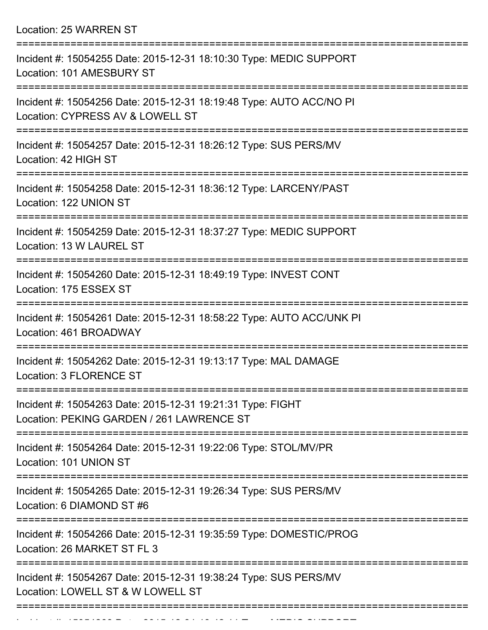Location: 25 WARREN ST

| Incident #: 15054255 Date: 2015-12-31 18:10:30 Type: MEDIC SUPPORT<br>Location: 101 AMESBURY ST                        |
|------------------------------------------------------------------------------------------------------------------------|
| Incident #: 15054256 Date: 2015-12-31 18:19:48 Type: AUTO ACC/NO PI<br>Location: CYPRESS AV & LOWELL ST                |
| Incident #: 15054257 Date: 2015-12-31 18:26:12 Type: SUS PERS/MV<br>Location: 42 HIGH ST                               |
| Incident #: 15054258 Date: 2015-12-31 18:36:12 Type: LARCENY/PAST<br>Location: 122 UNION ST                            |
| Incident #: 15054259 Date: 2015-12-31 18:37:27 Type: MEDIC SUPPORT<br>Location: 13 W LAUREL ST                         |
| Incident #: 15054260 Date: 2015-12-31 18:49:19 Type: INVEST CONT<br>Location: 175 ESSEX ST<br>======================== |
| Incident #: 15054261 Date: 2015-12-31 18:58:22 Type: AUTO ACC/UNK PI<br>Location: 461 BROADWAY                         |
| Incident #: 15054262 Date: 2015-12-31 19:13:17 Type: MAL DAMAGE<br>Location: 3 FLORENCE ST                             |
| Incident #: 15054263 Date: 2015-12-31 19:21:31 Type: FIGHT<br>Location: PEKING GARDEN / 261 LAWRENCE ST                |
| Incident #: 15054264 Date: 2015-12-31 19:22:06 Type: STOL/MV/PR<br>Location: 101 UNION ST                              |
| Incident #: 15054265 Date: 2015-12-31 19:26:34 Type: SUS PERS/MV<br>Location: 6 DIAMOND ST #6                          |
| Incident #: 15054266 Date: 2015-12-31 19:35:59 Type: DOMESTIC/PROG<br>Location: 26 MARKET ST FL 3                      |
| Incident #: 15054267 Date: 2015-12-31 19:38:24 Type: SUS PERS/MV<br>Location: LOWELL ST & W LOWELL ST                  |
|                                                                                                                        |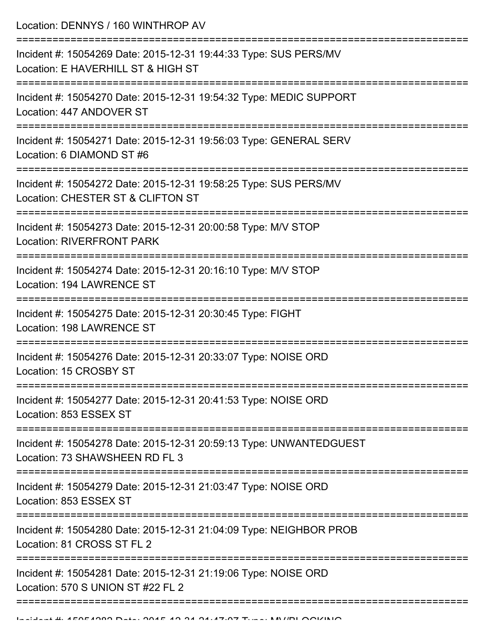Location: DENNYS / 160 WINTHROP AV

| Incident #: 15054269 Date: 2015-12-31 19:44:33 Type: SUS PERS/MV<br>Location: E HAVERHILL ST & HIGH ST |
|--------------------------------------------------------------------------------------------------------|
| Incident #: 15054270 Date: 2015-12-31 19:54:32 Type: MEDIC SUPPORT<br>Location: 447 ANDOVER ST         |
| Incident #: 15054271 Date: 2015-12-31 19:56:03 Type: GENERAL SERV<br>Location: 6 DIAMOND ST #6         |
| Incident #: 15054272 Date: 2015-12-31 19:58:25 Type: SUS PERS/MV<br>Location: CHESTER ST & CLIFTON ST  |
| Incident #: 15054273 Date: 2015-12-31 20:00:58 Type: M/V STOP<br><b>Location: RIVERFRONT PARK</b>      |
| Incident #: 15054274 Date: 2015-12-31 20:16:10 Type: M/V STOP<br>Location: 194 LAWRENCE ST             |
| Incident #: 15054275 Date: 2015-12-31 20:30:45 Type: FIGHT<br><b>Location: 198 LAWRENCE ST</b>         |
| Incident #: 15054276 Date: 2015-12-31 20:33:07 Type: NOISE ORD<br>Location: 15 CROSBY ST               |
| Incident #: 15054277 Date: 2015-12-31 20:41:53 Type: NOISE ORD<br>Location: 853 ESSEX ST               |
| Incident #: 15054278 Date: 2015-12-31 20:59:13 Type: UNWANTEDGUEST<br>Location: 73 SHAWSHEEN RD FL 3   |
| Incident #: 15054279 Date: 2015-12-31 21:03:47 Type: NOISE ORD<br>Location: 853 ESSEX ST               |
| Incident #: 15054280 Date: 2015-12-31 21:04:09 Type: NEIGHBOR PROB<br>Location: 81 CROSS ST FL 2       |
| Incident #: 15054281 Date: 2015-12-31 21:19:06 Type: NOISE ORD<br>Location: 570 S UNION ST #22 FL 2    |
|                                                                                                        |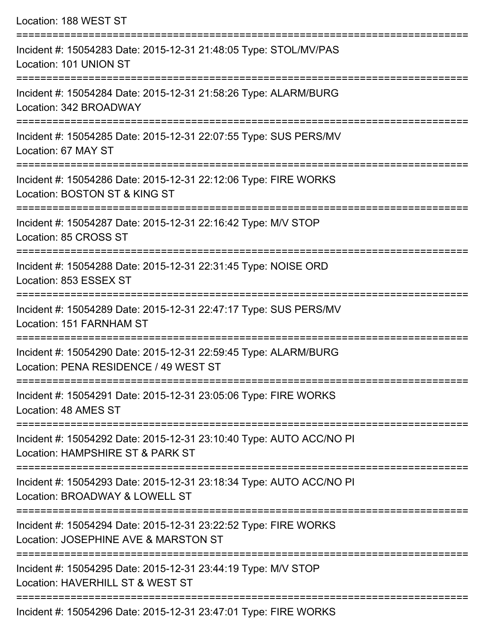| Location: 188 WEST ST                                                                                                      |
|----------------------------------------------------------------------------------------------------------------------------|
| Incident #: 15054283 Date: 2015-12-31 21:48:05 Type: STOL/MV/PAS<br>Location: 101 UNION ST                                 |
| Incident #: 15054284 Date: 2015-12-31 21:58:26 Type: ALARM/BURG<br>Location: 342 BROADWAY                                  |
| Incident #: 15054285 Date: 2015-12-31 22:07:55 Type: SUS PERS/MV<br>Location: 67 MAY ST                                    |
| Incident #: 15054286 Date: 2015-12-31 22:12:06 Type: FIRE WORKS<br>Location: BOSTON ST & KING ST                           |
| Incident #: 15054287 Date: 2015-12-31 22:16:42 Type: M/V STOP<br>Location: 85 CROSS ST                                     |
| ==============================<br>Incident #: 15054288 Date: 2015-12-31 22:31:45 Type: NOISE ORD<br>Location: 853 ESSEX ST |
| Incident #: 15054289 Date: 2015-12-31 22:47:17 Type: SUS PERS/MV<br>Location: 151 FARNHAM ST                               |
| Incident #: 15054290 Date: 2015-12-31 22:59:45 Type: ALARM/BURG<br>Location: PENA RESIDENCE / 49 WEST ST                   |
| Incident #: 15054291 Date: 2015-12-31 23:05:06 Type: FIRE WORKS<br>Location: 48 AMES ST                                    |
| Incident #: 15054292 Date: 2015-12-31 23:10:40 Type: AUTO ACC/NO PI<br>Location: HAMPSHIRE ST & PARK ST                    |
| Incident #: 15054293 Date: 2015-12-31 23:18:34 Type: AUTO ACC/NO PI<br>Location: BROADWAY & LOWELL ST                      |
| Incident #: 15054294 Date: 2015-12-31 23:22:52 Type: FIRE WORKS<br>Location: JOSEPHINE AVE & MARSTON ST                    |
| Incident #: 15054295 Date: 2015-12-31 23:44:19 Type: M/V STOP<br>Location: HAVERHILL ST & WEST ST                          |
| Incident #: 15054296 Date: 2015-12-31 23:47:01 Type: FIRE WORKS                                                            |